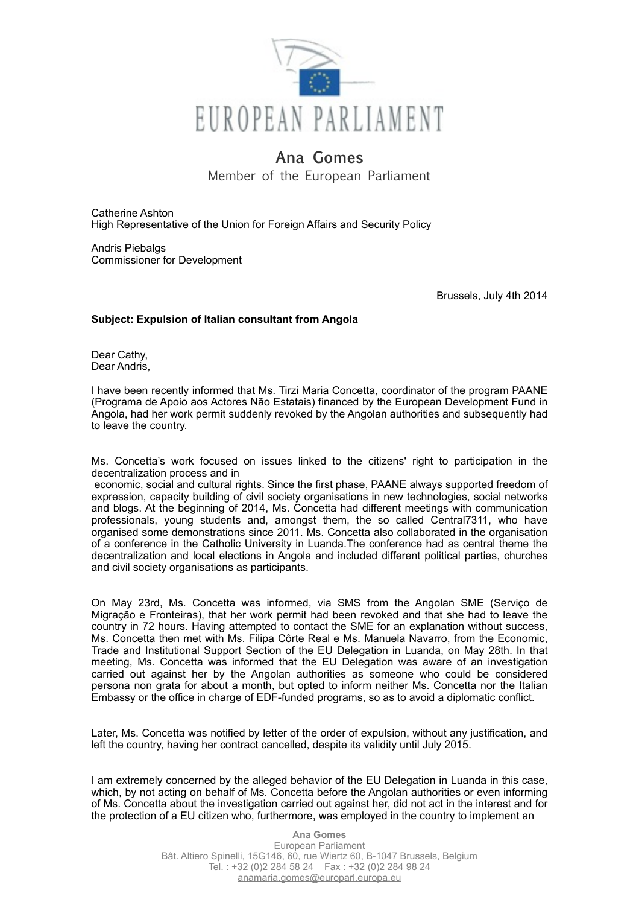

## **Ana Gomes**

Member of the European Parliament

Catherine Ashton High Representative of the Union for Foreign Affairs and Security Policy

Andris Piebalgs Commissioner for Development

Brussels, July 4th 2014

## **Subject: Expulsion of Italian consultant from Angola**

Dear Cathy, Dear Andris,

I have been recently informed that Ms. Tirzi Maria Concetta, coordinator of the program PAANE (Programa de Apoio aos Actores Não Estatais) financed by the European Development Fund in Angola, had her work permit suddenly revoked by the Angolan authorities and subsequently had to leave the country.

Ms. Concetta's work focused on issues linked to the citizens' right to participation in the decentralization process and in

 economic, social and cultural rights. Since the first phase, PAANE always supported freedom of expression, capacity building of civil society organisations in new technologies, social networks and blogs. At the beginning of 2014, Ms. Concetta had different meetings with communication professionals, young students and, amongst them, the so called Central7311, who have organised some demonstrations since 2011. Ms. Concetta also collaborated in the organisation of a conference in the Catholic University in Luanda.The conference had as central theme the decentralization and local elections in Angola and included different political parties, churches and civil society organisations as participants.

On May 23rd, Ms. Concetta was informed, via SMS from the Angolan SME (Serviço de Migração e Fronteiras), that her work permit had been revoked and that she had to leave the country in 72 hours. Having attempted to contact the SME for an explanation without success, Ms. Concetta then met with Ms. Filipa Côrte Real e Ms. Manuela Navarro, from the Economic, Trade and Institutional Support Section of the EU Delegation in Luanda, on May 28th. In that meeting, Ms. Concetta was informed that the EU Delegation was aware of an investigation carried out against her by the Angolan authorities as someone who could be considered persona non grata for about a month, but opted to inform neither Ms. Concetta nor the Italian Embassy or the office in charge of EDF-funded programs, so as to avoid a diplomatic conflict.

Later, Ms. Concetta was notified by letter of the order of expulsion, without any justification, and left the country, having her contract cancelled, despite its validity until July 2015.

I am extremely concerned by the alleged behavior of the EU Delegation in Luanda in this case, which, by not acting on behalf of Ms. Concetta before the Angolan authorities or even informing of Ms. Concetta about the investigation carried out against her, did not act in the interest and for the protection of a EU citizen who, furthermore, was employed in the country to implement an

> **Ana Gomes** European Parliament Bât. Altiero Spinelli, 15G146, 60, rue Wiertz 60, B-1047 Brussels, Belgium Tel. : +32 (0)2 284 58 24 Fax : +32 (0)2 284 98 24 [anamaria.gomes@europarl.europa.eu](mailto:anamaria.gomes@europarl.europa.eu)